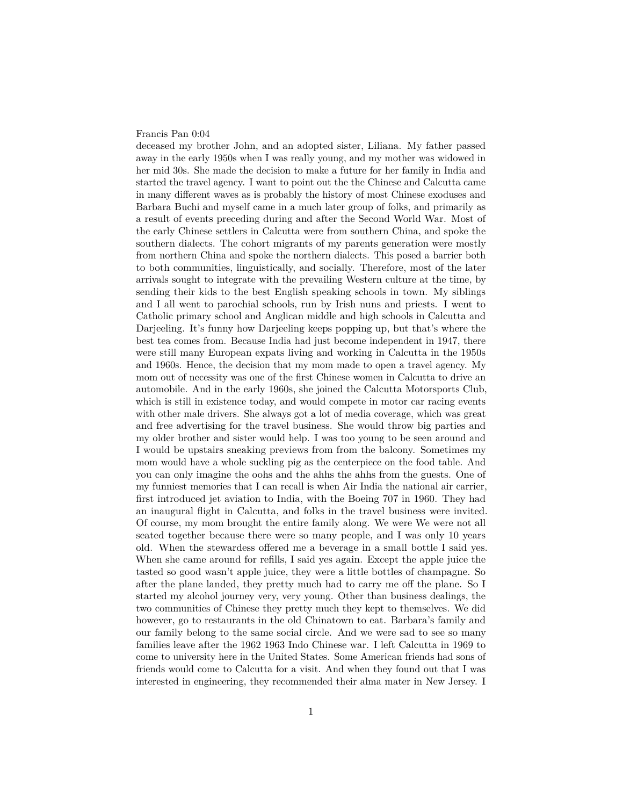### Francis Pan 0:04

deceased my brother John, and an adopted sister, Liliana. My father passed away in the early 1950s when I was really young, and my mother was widowed in her mid 30s. She made the decision to make a future for her family in India and started the travel agency. I want to point out the the Chinese and Calcutta came in many different waves as is probably the history of most Chinese exoduses and Barbara Buchi and myself came in a much later group of folks, and primarily as a result of events preceding during and after the Second World War. Most of the early Chinese settlers in Calcutta were from southern China, and spoke the southern dialects. The cohort migrants of my parents generation were mostly from northern China and spoke the northern dialects. This posed a barrier both to both communities, linguistically, and socially. Therefore, most of the later arrivals sought to integrate with the prevailing Western culture at the time, by sending their kids to the best English speaking schools in town. My siblings and I all went to parochial schools, run by Irish nuns and priests. I went to Catholic primary school and Anglican middle and high schools in Calcutta and Darjeeling. It's funny how Darjeeling keeps popping up, but that's where the best tea comes from. Because India had just become independent in 1947, there were still many European expats living and working in Calcutta in the 1950s and 1960s. Hence, the decision that my mom made to open a travel agency. My mom out of necessity was one of the first Chinese women in Calcutta to drive an automobile. And in the early 1960s, she joined the Calcutta Motorsports Club, which is still in existence today, and would compete in motor car racing events with other male drivers. She always got a lot of media coverage, which was great and free advertising for the travel business. She would throw big parties and my older brother and sister would help. I was too young to be seen around and I would be upstairs sneaking previews from from the balcony. Sometimes my mom would have a whole suckling pig as the centerpiece on the food table. And you can only imagine the oohs and the ahhs the ahhs from the guests. One of my funniest memories that I can recall is when Air India the national air carrier, first introduced jet aviation to India, with the Boeing 707 in 1960. They had an inaugural flight in Calcutta, and folks in the travel business were invited. Of course, my mom brought the entire family along. We were We were not all seated together because there were so many people, and I was only 10 years old. When the stewardess offered me a beverage in a small bottle I said yes. When she came around for refills, I said yes again. Except the apple juice the tasted so good wasn't apple juice, they were a little bottles of champagne. So after the plane landed, they pretty much had to carry me off the plane. So I started my alcohol journey very, very young. Other than business dealings, the two communities of Chinese they pretty much they kept to themselves. We did however, go to restaurants in the old Chinatown to eat. Barbara's family and our family belong to the same social circle. And we were sad to see so many families leave after the 1962 1963 Indo Chinese war. I left Calcutta in 1969 to come to university here in the United States. Some American friends had sons of friends would come to Calcutta for a visit. And when they found out that I was interested in engineering, they recommended their alma mater in New Jersey. I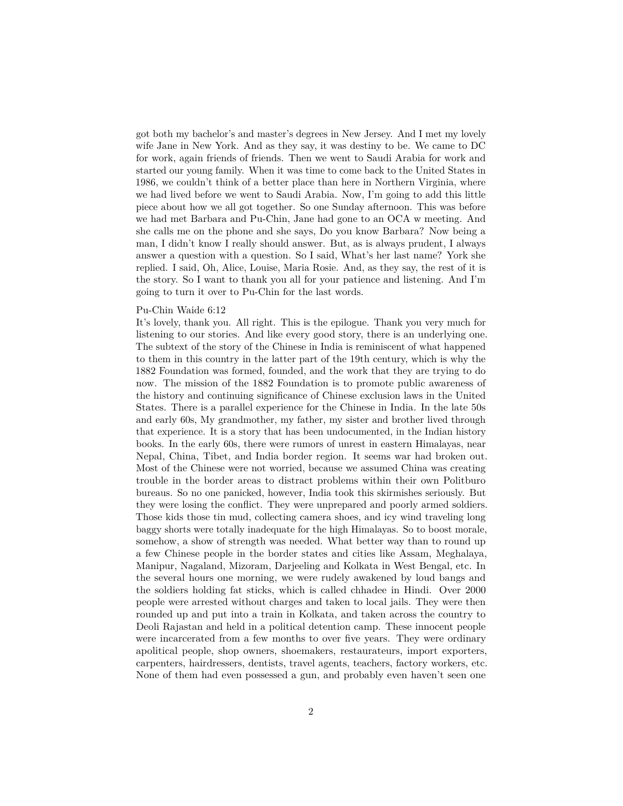got both my bachelor's and master's degrees in New Jersey. And I met my lovely wife Jane in New York. And as they say, it was destiny to be. We came to DC for work, again friends of friends. Then we went to Saudi Arabia for work and started our young family. When it was time to come back to the United States in 1986, we couldn't think of a better place than here in Northern Virginia, where we had lived before we went to Saudi Arabia. Now, I'm going to add this little piece about how we all got together. So one Sunday afternoon. This was before we had met Barbara and Pu-Chin, Jane had gone to an OCA w meeting. And she calls me on the phone and she says, Do you know Barbara? Now being a man, I didn't know I really should answer. But, as is always prudent, I always answer a question with a question. So I said, What's her last name? York she replied. I said, Oh, Alice, Louise, Maria Rosie. And, as they say, the rest of it is the story. So I want to thank you all for your patience and listening. And I'm going to turn it over to Pu-Chin for the last words.

### Pu-Chin Waide 6:12

It's lovely, thank you. All right. This is the epilogue. Thank you very much for listening to our stories. And like every good story, there is an underlying one. The subtext of the story of the Chinese in India is reminiscent of what happened to them in this country in the latter part of the 19th century, which is why the 1882 Foundation was formed, founded, and the work that they are trying to do now. The mission of the 1882 Foundation is to promote public awareness of the history and continuing significance of Chinese exclusion laws in the United States. There is a parallel experience for the Chinese in India. In the late 50s and early 60s, My grandmother, my father, my sister and brother lived through that experience. It is a story that has been undocumented, in the Indian history books. In the early 60s, there were rumors of unrest in eastern Himalayas, near Nepal, China, Tibet, and India border region. It seems war had broken out. Most of the Chinese were not worried, because we assumed China was creating trouble in the border areas to distract problems within their own Politburo bureaus. So no one panicked, however, India took this skirmishes seriously. But they were losing the conflict. They were unprepared and poorly armed soldiers. Those kids those tin mud, collecting camera shoes, and icy wind traveling long baggy shorts were totally inadequate for the high Himalayas. So to boost morale, somehow, a show of strength was needed. What better way than to round up a few Chinese people in the border states and cities like Assam, Meghalaya, Manipur, Nagaland, Mizoram, Darjeeling and Kolkata in West Bengal, etc. In the several hours one morning, we were rudely awakened by loud bangs and the soldiers holding fat sticks, which is called chhadee in Hindi. Over 2000 people were arrested without charges and taken to local jails. They were then rounded up and put into a train in Kolkata, and taken across the country to Deoli Rajastan and held in a political detention camp. These innocent people were incarcerated from a few months to over five years. They were ordinary apolitical people, shop owners, shoemakers, restaurateurs, import exporters, carpenters, hairdressers, dentists, travel agents, teachers, factory workers, etc. None of them had even possessed a gun, and probably even haven't seen one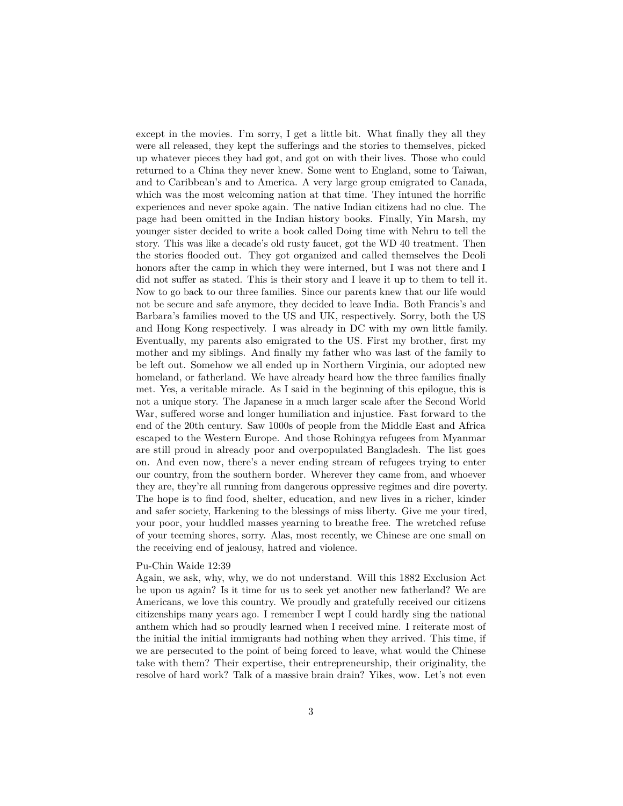except in the movies. I'm sorry, I get a little bit. What finally they all they were all released, they kept the sufferings and the stories to themselves, picked up whatever pieces they had got, and got on with their lives. Those who could returned to a China they never knew. Some went to England, some to Taiwan, and to Caribbean's and to America. A very large group emigrated to Canada, which was the most welcoming nation at that time. They intuned the horrific experiences and never spoke again. The native Indian citizens had no clue. The page had been omitted in the Indian history books. Finally, Yin Marsh, my younger sister decided to write a book called Doing time with Nehru to tell the story. This was like a decade's old rusty faucet, got the WD 40 treatment. Then the stories flooded out. They got organized and called themselves the Deoli honors after the camp in which they were interned, but I was not there and I did not suffer as stated. This is their story and I leave it up to them to tell it. Now to go back to our three families. Since our parents knew that our life would not be secure and safe anymore, they decided to leave India. Both Francis's and Barbara's families moved to the US and UK, respectively. Sorry, both the US and Hong Kong respectively. I was already in DC with my own little family. Eventually, my parents also emigrated to the US. First my brother, first my mother and my siblings. And finally my father who was last of the family to be left out. Somehow we all ended up in Northern Virginia, our adopted new homeland, or fatherland. We have already heard how the three families finally met. Yes, a veritable miracle. As I said in the beginning of this epilogue, this is not a unique story. The Japanese in a much larger scale after the Second World War, suffered worse and longer humiliation and injustice. Fast forward to the end of the 20th century. Saw 1000s of people from the Middle East and Africa escaped to the Western Europe. And those Rohingya refugees from Myanmar are still proud in already poor and overpopulated Bangladesh. The list goes on. And even now, there's a never ending stream of refugees trying to enter our country, from the southern border. Wherever they came from, and whoever they are, they're all running from dangerous oppressive regimes and dire poverty. The hope is to find food, shelter, education, and new lives in a richer, kinder and safer society, Harkening to the blessings of miss liberty. Give me your tired, your poor, your huddled masses yearning to breathe free. The wretched refuse of your teeming shores, sorry. Alas, most recently, we Chinese are one small on the receiving end of jealousy, hatred and violence.

## Pu-Chin Waide 12:39

Again, we ask, why, why, we do not understand. Will this 1882 Exclusion Act be upon us again? Is it time for us to seek yet another new fatherland? We are Americans, we love this country. We proudly and gratefully received our citizens citizenships many years ago. I remember I wept I could hardly sing the national anthem which had so proudly learned when I received mine. I reiterate most of the initial the initial immigrants had nothing when they arrived. This time, if we are persecuted to the point of being forced to leave, what would the Chinese take with them? Their expertise, their entrepreneurship, their originality, the resolve of hard work? Talk of a massive brain drain? Yikes, wow. Let's not even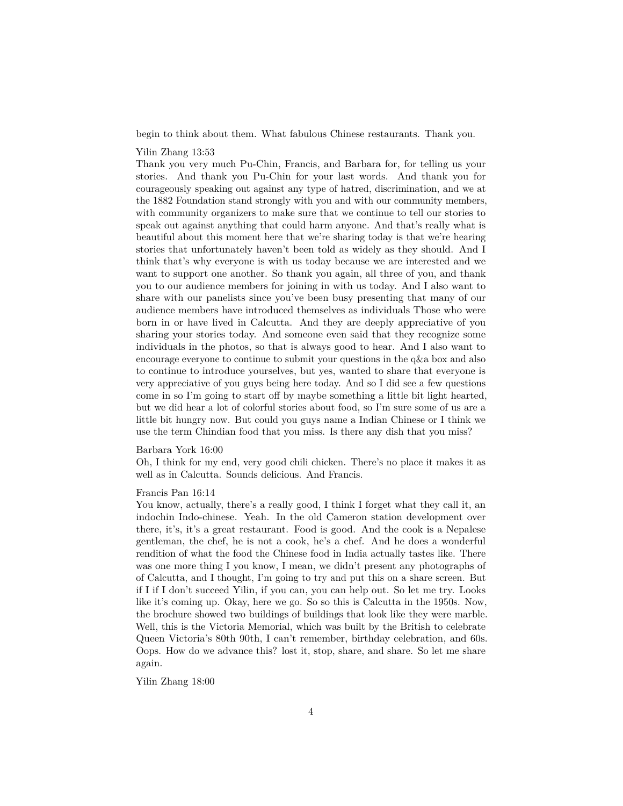begin to think about them. What fabulous Chinese restaurants. Thank you.

### Yilin Zhang 13:53

Thank you very much Pu-Chin, Francis, and Barbara for, for telling us your stories. And thank you Pu-Chin for your last words. And thank you for courageously speaking out against any type of hatred, discrimination, and we at the 1882 Foundation stand strongly with you and with our community members, with community organizers to make sure that we continue to tell our stories to speak out against anything that could harm anyone. And that's really what is beautiful about this moment here that we're sharing today is that we're hearing stories that unfortunately haven't been told as widely as they should. And I think that's why everyone is with us today because we are interested and we want to support one another. So thank you again, all three of you, and thank you to our audience members for joining in with us today. And I also want to share with our panelists since you've been busy presenting that many of our audience members have introduced themselves as individuals Those who were born in or have lived in Calcutta. And they are deeply appreciative of you sharing your stories today. And someone even said that they recognize some individuals in the photos, so that is always good to hear. And I also want to encourage everyone to continue to submit your questions in the q&a box and also to continue to introduce yourselves, but yes, wanted to share that everyone is very appreciative of you guys being here today. And so I did see a few questions come in so I'm going to start off by maybe something a little bit light hearted, but we did hear a lot of colorful stories about food, so I'm sure some of us are a little bit hungry now. But could you guys name a Indian Chinese or I think we use the term Chindian food that you miss. Is there any dish that you miss?

#### Barbara York 16:00

Oh, I think for my end, very good chili chicken. There's no place it makes it as well as in Calcutta. Sounds delicious. And Francis.

### Francis Pan 16:14

You know, actually, there's a really good, I think I forget what they call it, an indochin Indo-chinese. Yeah. In the old Cameron station development over there, it's, it's a great restaurant. Food is good. And the cook is a Nepalese gentleman, the chef, he is not a cook, he's a chef. And he does a wonderful rendition of what the food the Chinese food in India actually tastes like. There was one more thing I you know, I mean, we didn't present any photographs of of Calcutta, and I thought, I'm going to try and put this on a share screen. But if I if I don't succeed Yilin, if you can, you can help out. So let me try. Looks like it's coming up. Okay, here we go. So so this is Calcutta in the 1950s. Now, the brochure showed two buildings of buildings that look like they were marble. Well, this is the Victoria Memorial, which was built by the British to celebrate Queen Victoria's 80th 90th, I can't remember, birthday celebration, and 60s. Oops. How do we advance this? lost it, stop, share, and share. So let me share again.

# Yilin Zhang 18:00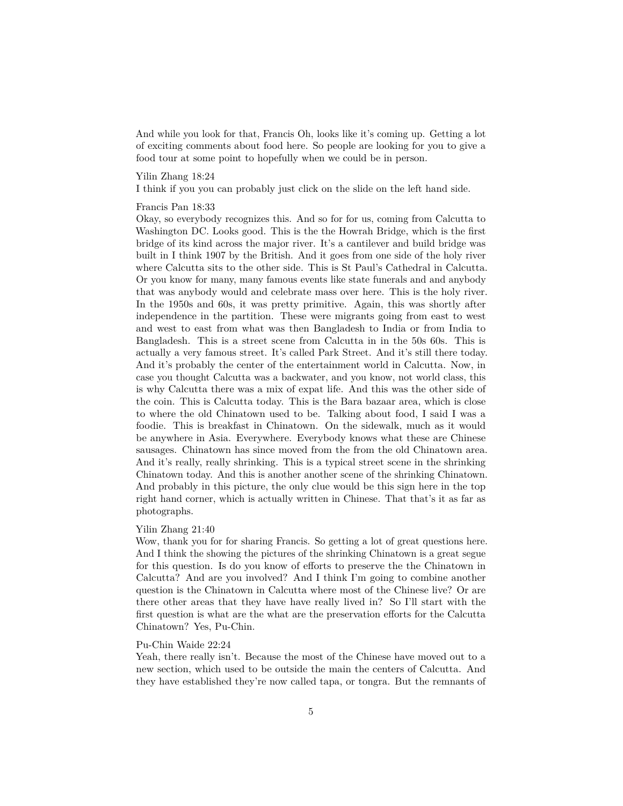And while you look for that, Francis Oh, looks like it's coming up. Getting a lot of exciting comments about food here. So people are looking for you to give a food tour at some point to hopefully when we could be in person.

## Yilin Zhang 18:24

I think if you you can probably just click on the slide on the left hand side.

# Francis Pan 18:33

Okay, so everybody recognizes this. And so for for us, coming from Calcutta to Washington DC. Looks good. This is the the Howrah Bridge, which is the first bridge of its kind across the major river. It's a cantilever and build bridge was built in I think 1907 by the British. And it goes from one side of the holy river where Calcutta sits to the other side. This is St Paul's Cathedral in Calcutta. Or you know for many, many famous events like state funerals and and anybody that was anybody would and celebrate mass over here. This is the holy river. In the 1950s and 60s, it was pretty primitive. Again, this was shortly after independence in the partition. These were migrants going from east to west and west to east from what was then Bangladesh to India or from India to Bangladesh. This is a street scene from Calcutta in in the 50s 60s. This is actually a very famous street. It's called Park Street. And it's still there today. And it's probably the center of the entertainment world in Calcutta. Now, in case you thought Calcutta was a backwater, and you know, not world class, this is why Calcutta there was a mix of expat life. And this was the other side of the coin. This is Calcutta today. This is the Bara bazaar area, which is close to where the old Chinatown used to be. Talking about food, I said I was a foodie. This is breakfast in Chinatown. On the sidewalk, much as it would be anywhere in Asia. Everywhere. Everybody knows what these are Chinese sausages. Chinatown has since moved from the from the old Chinatown area. And it's really, really shrinking. This is a typical street scene in the shrinking Chinatown today. And this is another another scene of the shrinking Chinatown. And probably in this picture, the only clue would be this sign here in the top right hand corner, which is actually written in Chinese. That that's it as far as photographs.

## Yilin Zhang 21:40

Wow, thank you for for sharing Francis. So getting a lot of great questions here. And I think the showing the pictures of the shrinking Chinatown is a great segue for this question. Is do you know of efforts to preserve the the Chinatown in Calcutta? And are you involved? And I think I'm going to combine another question is the Chinatown in Calcutta where most of the Chinese live? Or are there other areas that they have have really lived in? So I'll start with the first question is what are the what are the preservation efforts for the Calcutta Chinatown? Yes, Pu-Chin.

# Pu-Chin Waide 22:24

Yeah, there really isn't. Because the most of the Chinese have moved out to a new section, which used to be outside the main the centers of Calcutta. And they have established they're now called tapa, or tongra. But the remnants of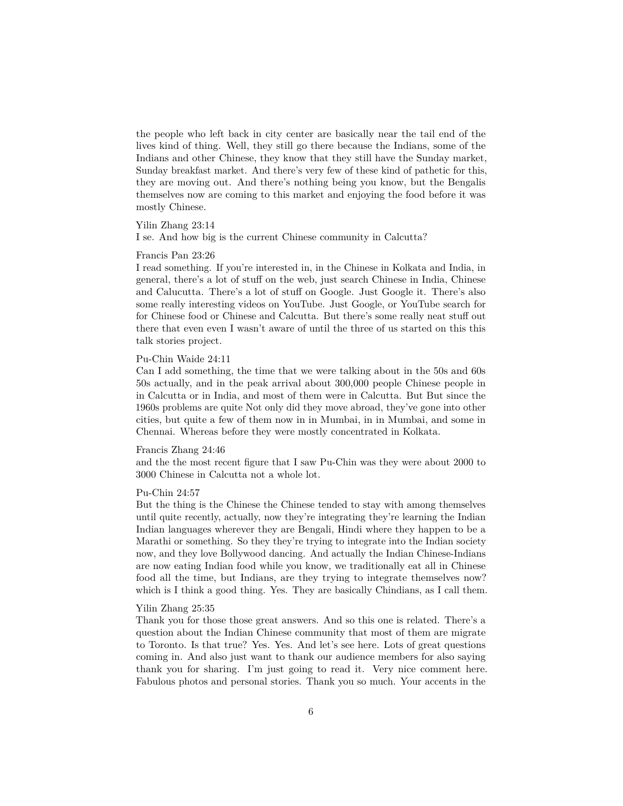the people who left back in city center are basically near the tail end of the lives kind of thing. Well, they still go there because the Indians, some of the Indians and other Chinese, they know that they still have the Sunday market, Sunday breakfast market. And there's very few of these kind of pathetic for this, they are moving out. And there's nothing being you know, but the Bengalis themselves now are coming to this market and enjoying the food before it was mostly Chinese.

#### Yilin Zhang 23:14

I se. And how big is the current Chinese community in Calcutta?

#### Francis Pan 23:26

I read something. If you're interested in, in the Chinese in Kolkata and India, in general, there's a lot of stuff on the web, just search Chinese in India, Chinese and Calucutta. There's a lot of stuff on Google. Just Google it. There's also some really interesting videos on YouTube. Just Google, or YouTube search for for Chinese food or Chinese and Calcutta. But there's some really neat stuff out there that even even I wasn't aware of until the three of us started on this this talk stories project.

## Pu-Chin Waide 24:11

Can I add something, the time that we were talking about in the 50s and 60s 50s actually, and in the peak arrival about 300,000 people Chinese people in in Calcutta or in India, and most of them were in Calcutta. But But since the 1960s problems are quite Not only did they move abroad, they've gone into other cities, but quite a few of them now in in Mumbai, in in Mumbai, and some in Chennai. Whereas before they were mostly concentrated in Kolkata.

#### Francis Zhang 24:46

and the the most recent figure that I saw Pu-Chin was they were about 2000 to 3000 Chinese in Calcutta not a whole lot.

# Pu-Chin 24:57

But the thing is the Chinese the Chinese tended to stay with among themselves until quite recently, actually, now they're integrating they're learning the Indian Indian languages wherever they are Bengali, Hindi where they happen to be a Marathi or something. So they they're trying to integrate into the Indian society now, and they love Bollywood dancing. And actually the Indian Chinese-Indians are now eating Indian food while you know, we traditionally eat all in Chinese food all the time, but Indians, are they trying to integrate themselves now? which is I think a good thing. Yes. They are basically Chindians, as I call them.

#### Yilin Zhang 25:35

Thank you for those those great answers. And so this one is related. There's a question about the Indian Chinese community that most of them are migrate to Toronto. Is that true? Yes. Yes. And let's see here. Lots of great questions coming in. And also just want to thank our audience members for also saying thank you for sharing. I'm just going to read it. Very nice comment here. Fabulous photos and personal stories. Thank you so much. Your accents in the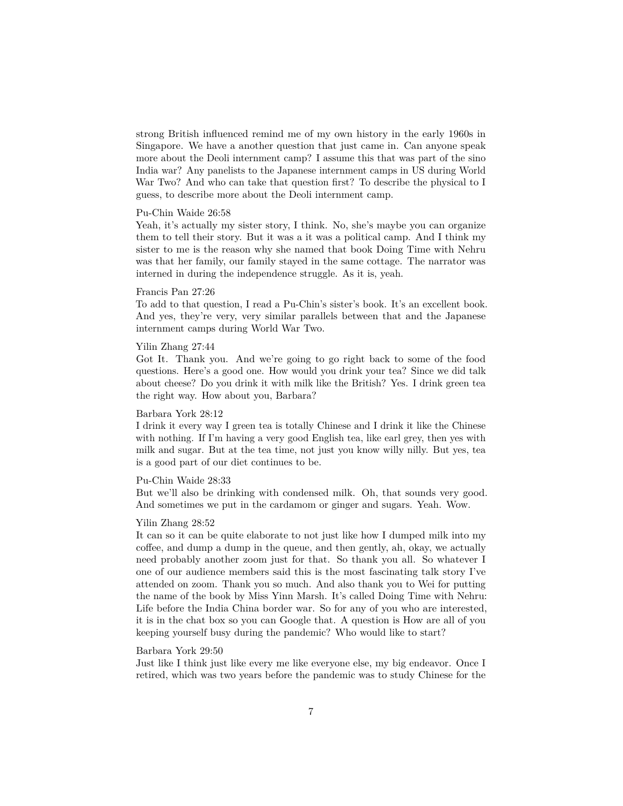strong British influenced remind me of my own history in the early 1960s in Singapore. We have a another question that just came in. Can anyone speak more about the Deoli internment camp? I assume this that was part of the sino India war? Any panelists to the Japanese internment camps in US during World War Two? And who can take that question first? To describe the physical to I guess, to describe more about the Deoli internment camp.

### Pu-Chin Waide 26:58

Yeah, it's actually my sister story, I think. No, she's maybe you can organize them to tell their story. But it was a it was a political camp. And I think my sister to me is the reason why she named that book Doing Time with Nehru was that her family, our family stayed in the same cottage. The narrator was interned in during the independence struggle. As it is, yeah.

## Francis Pan 27:26

To add to that question, I read a Pu-Chin's sister's book. It's an excellent book. And yes, they're very, very similar parallels between that and the Japanese internment camps during World War Two.

# Yilin Zhang 27:44

Got It. Thank you. And we're going to go right back to some of the food questions. Here's a good one. How would you drink your tea? Since we did talk about cheese? Do you drink it with milk like the British? Yes. I drink green tea the right way. How about you, Barbara?

# Barbara York 28:12

I drink it every way I green tea is totally Chinese and I drink it like the Chinese with nothing. If I'm having a very good English tea, like earl grey, then yes with milk and sugar. But at the tea time, not just you know willy nilly. But yes, tea is a good part of our diet continues to be.

## Pu-Chin Waide 28:33

But we'll also be drinking with condensed milk. Oh, that sounds very good. And sometimes we put in the cardamom or ginger and sugars. Yeah. Wow.

#### Yilin Zhang 28:52

It can so it can be quite elaborate to not just like how I dumped milk into my coffee, and dump a dump in the queue, and then gently, ah, okay, we actually need probably another zoom just for that. So thank you all. So whatever I one of our audience members said this is the most fascinating talk story I've attended on zoom. Thank you so much. And also thank you to Wei for putting the name of the book by Miss Yinn Marsh. It's called Doing Time with Nehru: Life before the India China border war. So for any of you who are interested, it is in the chat box so you can Google that. A question is How are all of you keeping yourself busy during the pandemic? Who would like to start?

## Barbara York 29:50

Just like I think just like every me like everyone else, my big endeavor. Once I retired, which was two years before the pandemic was to study Chinese for the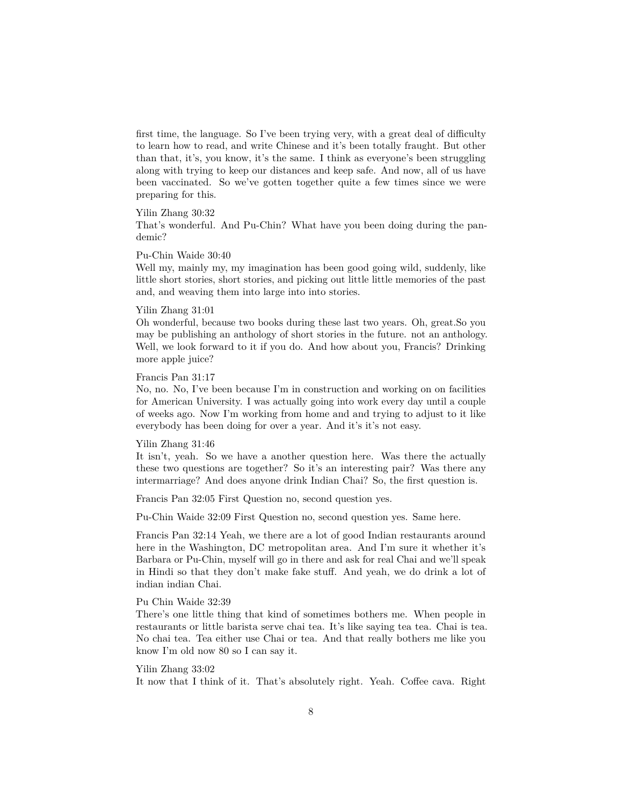first time, the language. So I've been trying very, with a great deal of difficulty to learn how to read, and write Chinese and it's been totally fraught. But other than that, it's, you know, it's the same. I think as everyone's been struggling along with trying to keep our distances and keep safe. And now, all of us have been vaccinated. So we've gotten together quite a few times since we were preparing for this.

### Yilin Zhang 30:32

That's wonderful. And Pu-Chin? What have you been doing during the pandemic?

## Pu-Chin Waide 30:40

Well my, mainly my, my imagination has been good going wild, suddenly, like little short stories, short stories, and picking out little little memories of the past and, and weaving them into large into into stories.

# Yilin Zhang 31:01

Oh wonderful, because two books during these last two years. Oh, great.So you may be publishing an anthology of short stories in the future. not an anthology. Well, we look forward to it if you do. And how about you, Francis? Drinking more apple juice?

## Francis Pan 31:17

No, no. No, I've been because I'm in construction and working on on facilities for American University. I was actually going into work every day until a couple of weeks ago. Now I'm working from home and and trying to adjust to it like everybody has been doing for over a year. And it's it's not easy.

## Yilin Zhang 31:46

It isn't, yeah. So we have a another question here. Was there the actually these two questions are together? So it's an interesting pair? Was there any intermarriage? And does anyone drink Indian Chai? So, the first question is.

Francis Pan 32:05 First Question no, second question yes.

Pu-Chin Waide 32:09 First Question no, second question yes. Same here.

Francis Pan 32:14 Yeah, we there are a lot of good Indian restaurants around here in the Washington, DC metropolitan area. And I'm sure it whether it's Barbara or Pu-Chin, myself will go in there and ask for real Chai and we'll speak in Hindi so that they don't make fake stuff. And yeah, we do drink a lot of indian indian Chai.

### Pu Chin Waide 32:39

There's one little thing that kind of sometimes bothers me. When people in restaurants or little barista serve chai tea. It's like saying tea tea. Chai is tea. No chai tea. Tea either use Chai or tea. And that really bothers me like you know I'm old now 80 so I can say it.

### Yilin Zhang 33:02

It now that I think of it. That's absolutely right. Yeah. Coffee cava. Right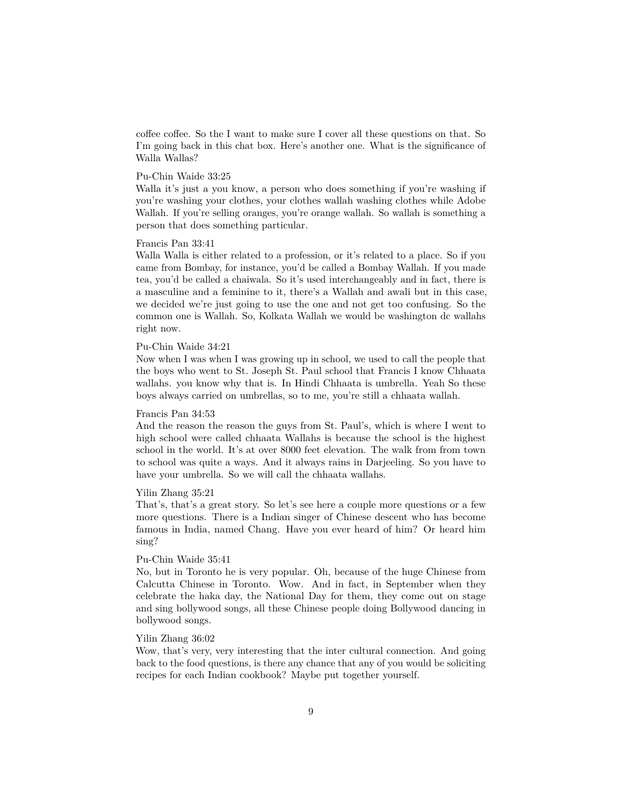coffee coffee. So the I want to make sure I cover all these questions on that. So I'm going back in this chat box. Here's another one. What is the significance of Walla Wallas?

# Pu-Chin Waide 33:25

Walla it's just a you know, a person who does something if you're washing if you're washing your clothes, your clothes wallah washing clothes while Adobe Wallah. If you're selling oranges, you're orange wallah. So wallah is something a person that does something particular.

# Francis Pan 33:41

Walla Walla is either related to a profession, or it's related to a place. So if you came from Bombay, for instance, you'd be called a Bombay Wallah. If you made tea, you'd be called a chaiwala. So it's used interchangeably and in fact, there is a masculine and a feminine to it, there's a Wallah and awali but in this case, we decided we're just going to use the one and not get too confusing. So the common one is Wallah. So, Kolkata Wallah we would be washington dc wallahs right now.

# Pu-Chin Waide 34:21

Now when I was when I was growing up in school, we used to call the people that the boys who went to St. Joseph St. Paul school that Francis I know Chhaata wallahs. you know why that is. In Hindi Chhaata is umbrella. Yeah So these boys always carried on umbrellas, so to me, you're still a chhaata wallah.

# Francis Pan 34:53

And the reason the reason the guys from St. Paul's, which is where I went to high school were called chhaata Wallahs is because the school is the highest school in the world. It's at over 8000 feet elevation. The walk from from town to school was quite a ways. And it always rains in Darjeeling. So you have to have your umbrella. So we will call the chhaata wallahs.

# Yilin Zhang 35:21

That's, that's a great story. So let's see here a couple more questions or a few more questions. There is a Indian singer of Chinese descent who has become famous in India, named Chang. Have you ever heard of him? Or heard him sing?

# Pu-Chin Waide 35:41

No, but in Toronto he is very popular. Oh, because of the huge Chinese from Calcutta Chinese in Toronto. Wow. And in fact, in September when they celebrate the haka day, the National Day for them, they come out on stage and sing bollywood songs, all these Chinese people doing Bollywood dancing in bollywood songs.

## Yilin Zhang 36:02

Wow, that's very, very interesting that the inter cultural connection. And going back to the food questions, is there any chance that any of you would be soliciting recipes for each Indian cookbook? Maybe put together yourself.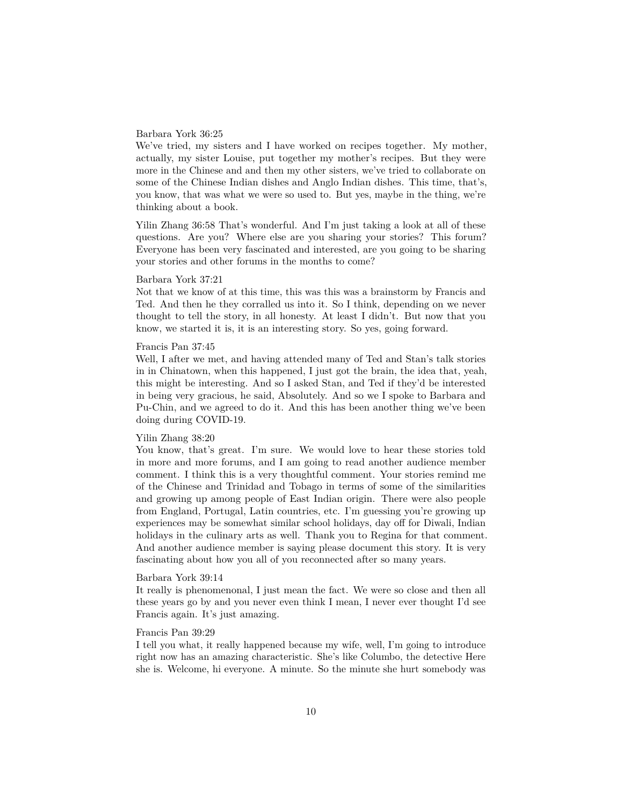## Barbara York 36:25

We've tried, my sisters and I have worked on recipes together. My mother, actually, my sister Louise, put together my mother's recipes. But they were more in the Chinese and and then my other sisters, we've tried to collaborate on some of the Chinese Indian dishes and Anglo Indian dishes. This time, that's, you know, that was what we were so used to. But yes, maybe in the thing, we're thinking about a book.

Yilin Zhang 36:58 That's wonderful. And I'm just taking a look at all of these questions. Are you? Where else are you sharing your stories? This forum? Everyone has been very fascinated and interested, are you going to be sharing your stories and other forums in the months to come?

### Barbara York 37:21

Not that we know of at this time, this was this was a brainstorm by Francis and Ted. And then he they corralled us into it. So I think, depending on we never thought to tell the story, in all honesty. At least I didn't. But now that you know, we started it is, it is an interesting story. So yes, going forward.

# Francis Pan 37:45

Well, I after we met, and having attended many of Ted and Stan's talk stories in in Chinatown, when this happened, I just got the brain, the idea that, yeah, this might be interesting. And so I asked Stan, and Ted if they'd be interested in being very gracious, he said, Absolutely. And so we I spoke to Barbara and Pu-Chin, and we agreed to do it. And this has been another thing we've been doing during COVID-19.

# Yilin Zhang 38:20

You know, that's great. I'm sure. We would love to hear these stories told in more and more forums, and I am going to read another audience member comment. I think this is a very thoughtful comment. Your stories remind me of the Chinese and Trinidad and Tobago in terms of some of the similarities and growing up among people of East Indian origin. There were also people from England, Portugal, Latin countries, etc. I'm guessing you're growing up experiences may be somewhat similar school holidays, day off for Diwali, Indian holidays in the culinary arts as well. Thank you to Regina for that comment. And another audience member is saying please document this story. It is very fascinating about how you all of you reconnected after so many years.

## Barbara York 39:14

It really is phenomenonal, I just mean the fact. We were so close and then all these years go by and you never even think I mean, I never ever thought I'd see Francis again. It's just amazing.

### Francis Pan 39:29

I tell you what, it really happened because my wife, well, I'm going to introduce right now has an amazing characteristic. She's like Columbo, the detective Here she is. Welcome, hi everyone. A minute. So the minute she hurt somebody was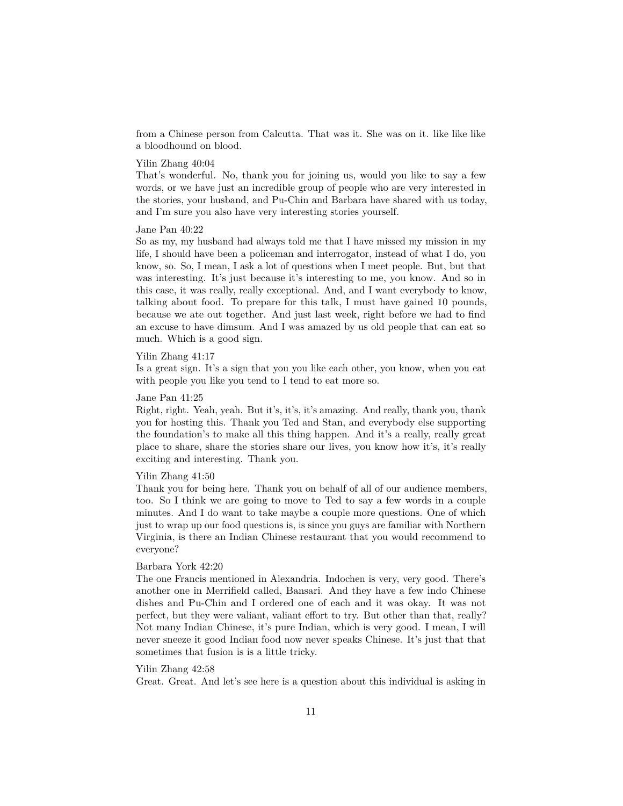from a Chinese person from Calcutta. That was it. She was on it. like like like a bloodhound on blood.

### Yilin Zhang 40:04

That's wonderful. No, thank you for joining us, would you like to say a few words, or we have just an incredible group of people who are very interested in the stories, your husband, and Pu-Chin and Barbara have shared with us today, and I'm sure you also have very interesting stories yourself.

## Jane Pan 40:22

So as my, my husband had always told me that I have missed my mission in my life, I should have been a policeman and interrogator, instead of what I do, you know, so. So, I mean, I ask a lot of questions when I meet people. But, but that was interesting. It's just because it's interesting to me, you know. And so in this case, it was really, really exceptional. And, and I want everybody to know, talking about food. To prepare for this talk, I must have gained 10 pounds, because we ate out together. And just last week, right before we had to find an excuse to have dimsum. And I was amazed by us old people that can eat so much. Which is a good sign.

### Yilin Zhang 41:17

Is a great sign. It's a sign that you you like each other, you know, when you eat with people you like you tend to I tend to eat more so.

## Jane Pan 41:25

Right, right. Yeah, yeah. But it's, it's, it's amazing. And really, thank you, thank you for hosting this. Thank you Ted and Stan, and everybody else supporting the foundation's to make all this thing happen. And it's a really, really great place to share, share the stories share our lives, you know how it's, it's really exciting and interesting. Thank you.

# Yilin Zhang 41:50

Thank you for being here. Thank you on behalf of all of our audience members, too. So I think we are going to move to Ted to say a few words in a couple minutes. And I do want to take maybe a couple more questions. One of which just to wrap up our food questions is, is since you guys are familiar with Northern Virginia, is there an Indian Chinese restaurant that you would recommend to everyone?

# Barbara York 42:20

The one Francis mentioned in Alexandria. Indochen is very, very good. There's another one in Merrifield called, Bansari. And they have a few indo Chinese dishes and Pu-Chin and I ordered one of each and it was okay. It was not perfect, but they were valiant, valiant effort to try. But other than that, really? Not many Indian Chinese, it's pure Indian, which is very good. I mean, I will never sneeze it good Indian food now never speaks Chinese. It's just that that sometimes that fusion is is a little tricky.

## Yilin Zhang 42:58

Great. Great. And let's see here is a question about this individual is asking in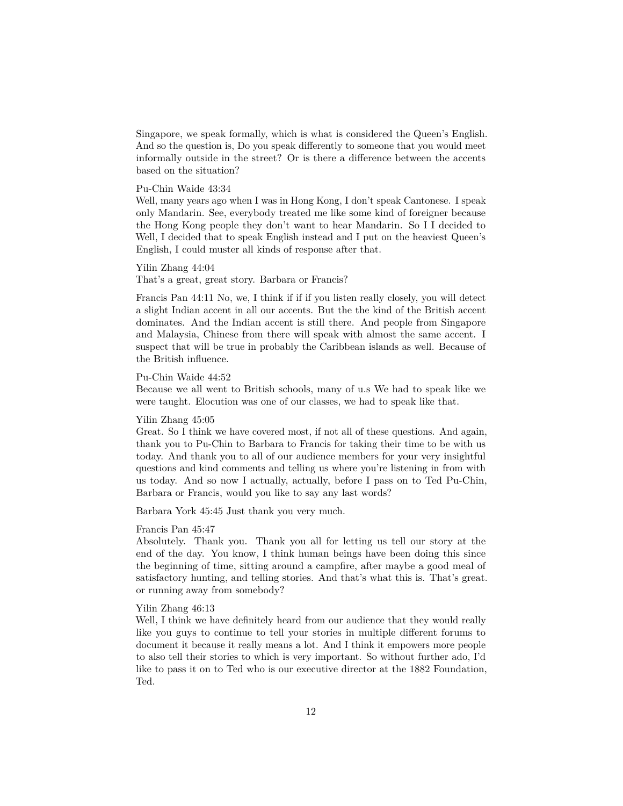Singapore, we speak formally, which is what is considered the Queen's English. And so the question is, Do you speak differently to someone that you would meet informally outside in the street? Or is there a difference between the accents based on the situation?

# Pu-Chin Waide 43:34

Well, many years ago when I was in Hong Kong, I don't speak Cantonese. I speak only Mandarin. See, everybody treated me like some kind of foreigner because the Hong Kong people they don't want to hear Mandarin. So I I decided to Well, I decided that to speak English instead and I put on the heaviest Queen's English, I could muster all kinds of response after that.

### Yilin Zhang 44:04

That's a great, great story. Barbara or Francis?

Francis Pan 44:11 No, we, I think if if if you listen really closely, you will detect a slight Indian accent in all our accents. But the the kind of the British accent dominates. And the Indian accent is still there. And people from Singapore and Malaysia, Chinese from there will speak with almost the same accent. I suspect that will be true in probably the Caribbean islands as well. Because of the British influence.

## Pu-Chin Waide 44:52

Because we all went to British schools, many of u.s We had to speak like we were taught. Elocution was one of our classes, we had to speak like that.

# Yilin Zhang 45:05

Great. So I think we have covered most, if not all of these questions. And again, thank you to Pu-Chin to Barbara to Francis for taking their time to be with us today. And thank you to all of our audience members for your very insightful questions and kind comments and telling us where you're listening in from with us today. And so now I actually, actually, before I pass on to Ted Pu-Chin, Barbara or Francis, would you like to say any last words?

Barbara York 45:45 Just thank you very much.

# Francis Pan 45:47

Absolutely. Thank you. Thank you all for letting us tell our story at the end of the day. You know, I think human beings have been doing this since the beginning of time, sitting around a campfire, after maybe a good meal of satisfactory hunting, and telling stories. And that's what this is. That's great. or running away from somebody?

### Yilin Zhang 46:13

Well, I think we have definitely heard from our audience that they would really like you guys to continue to tell your stories in multiple different forums to document it because it really means a lot. And I think it empowers more people to also tell their stories to which is very important. So without further ado, I'd like to pass it on to Ted who is our executive director at the 1882 Foundation, Ted.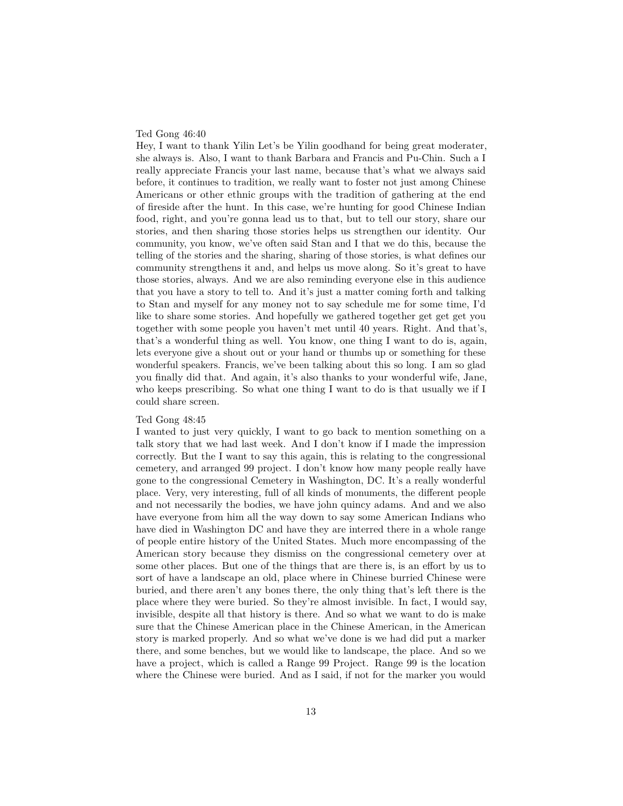## Ted Gong 46:40

Hey, I want to thank Yilin Let's be Yilin goodhand for being great moderater, she always is. Also, I want to thank Barbara and Francis and Pu-Chin. Such a I really appreciate Francis your last name, because that's what we always said before, it continues to tradition, we really want to foster not just among Chinese Americans or other ethnic groups with the tradition of gathering at the end of fireside after the hunt. In this case, we're hunting for good Chinese Indian food, right, and you're gonna lead us to that, but to tell our story, share our stories, and then sharing those stories helps us strengthen our identity. Our community, you know, we've often said Stan and I that we do this, because the telling of the stories and the sharing, sharing of those stories, is what defines our community strengthens it and, and helps us move along. So it's great to have those stories, always. And we are also reminding everyone else in this audience that you have a story to tell to. And it's just a matter coming forth and talking to Stan and myself for any money not to say schedule me for some time, I'd like to share some stories. And hopefully we gathered together get get get you together with some people you haven't met until 40 years. Right. And that's, that's a wonderful thing as well. You know, one thing I want to do is, again, lets everyone give a shout out or your hand or thumbs up or something for these wonderful speakers. Francis, we've been talking about this so long. I am so glad you finally did that. And again, it's also thanks to your wonderful wife, Jane, who keeps prescribing. So what one thing I want to do is that usually we if I could share screen.

# Ted Gong 48:45

I wanted to just very quickly, I want to go back to mention something on a talk story that we had last week. And I don't know if I made the impression correctly. But the I want to say this again, this is relating to the congressional cemetery, and arranged 99 project. I don't know how many people really have gone to the congressional Cemetery in Washington, DC. It's a really wonderful place. Very, very interesting, full of all kinds of monuments, the different people and not necessarily the bodies, we have john quincy adams. And and we also have everyone from him all the way down to say some American Indians who have died in Washington DC and have they are interred there in a whole range of people entire history of the United States. Much more encompassing of the American story because they dismiss on the congressional cemetery over at some other places. But one of the things that are there is, is an effort by us to sort of have a landscape an old, place where in Chinese burried Chinese were buried, and there aren't any bones there, the only thing that's left there is the place where they were buried. So they're almost invisible. In fact, I would say, invisible, despite all that history is there. And so what we want to do is make sure that the Chinese American place in the Chinese American, in the American story is marked properly. And so what we've done is we had did put a marker there, and some benches, but we would like to landscape, the place. And so we have a project, which is called a Range 99 Project. Range 99 is the location where the Chinese were buried. And as I said, if not for the marker you would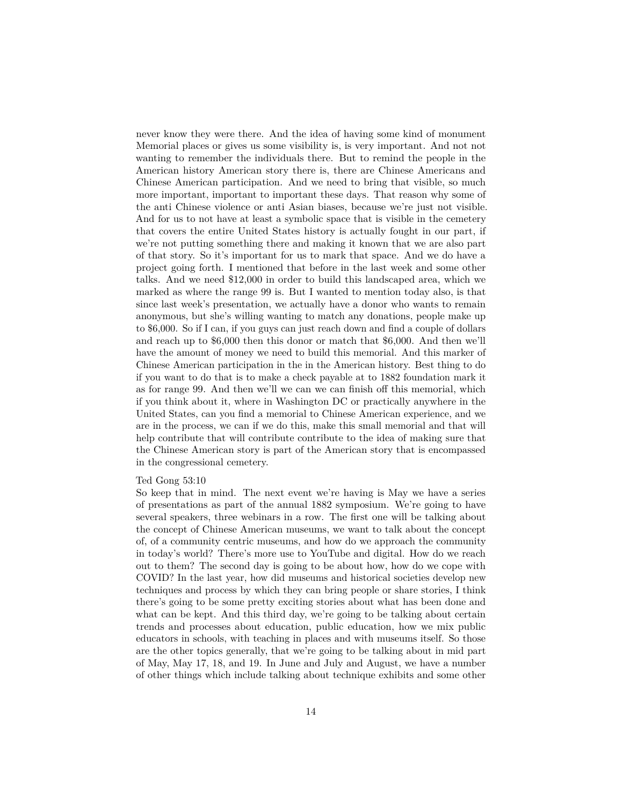never know they were there. And the idea of having some kind of monument Memorial places or gives us some visibility is, is very important. And not not wanting to remember the individuals there. But to remind the people in the American history American story there is, there are Chinese Americans and Chinese American participation. And we need to bring that visible, so much more important, important to important these days. That reason why some of the anti Chinese violence or anti Asian biases, because we're just not visible. And for us to not have at least a symbolic space that is visible in the cemetery that covers the entire United States history is actually fought in our part, if we're not putting something there and making it known that we are also part of that story. So it's important for us to mark that space. And we do have a project going forth. I mentioned that before in the last week and some other talks. And we need \$12,000 in order to build this landscaped area, which we marked as where the range 99 is. But I wanted to mention today also, is that since last week's presentation, we actually have a donor who wants to remain anonymous, but she's willing wanting to match any donations, people make up to \$6,000. So if I can, if you guys can just reach down and find a couple of dollars and reach up to \$6,000 then this donor or match that \$6,000. And then we'll have the amount of money we need to build this memorial. And this marker of Chinese American participation in the in the American history. Best thing to do if you want to do that is to make a check payable at to 1882 foundation mark it as for range 99. And then we'll we can we can finish off this memorial, which if you think about it, where in Washington DC or practically anywhere in the United States, can you find a memorial to Chinese American experience, and we are in the process, we can if we do this, make this small memorial and that will help contribute that will contribute contribute to the idea of making sure that the Chinese American story is part of the American story that is encompassed in the congressional cemetery.

## Ted Gong 53:10

So keep that in mind. The next event we're having is May we have a series of presentations as part of the annual 1882 symposium. We're going to have several speakers, three webinars in a row. The first one will be talking about the concept of Chinese American museums, we want to talk about the concept of, of a community centric museums, and how do we approach the community in today's world? There's more use to YouTube and digital. How do we reach out to them? The second day is going to be about how, how do we cope with COVID? In the last year, how did museums and historical societies develop new techniques and process by which they can bring people or share stories, I think there's going to be some pretty exciting stories about what has been done and what can be kept. And this third day, we're going to be talking about certain trends and processes about education, public education, how we mix public educators in schools, with teaching in places and with museums itself. So those are the other topics generally, that we're going to be talking about in mid part of May, May 17, 18, and 19. In June and July and August, we have a number of other things which include talking about technique exhibits and some other